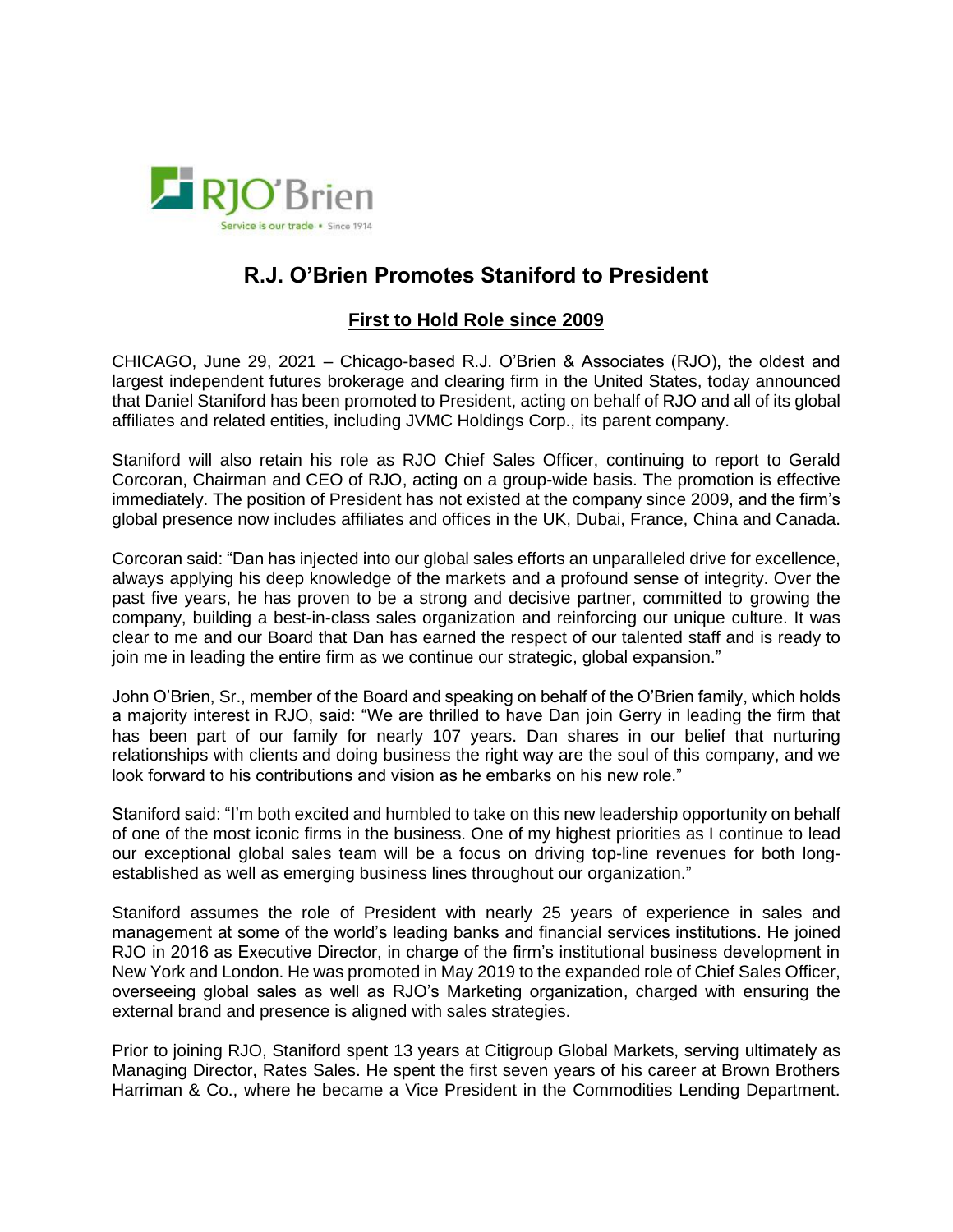

## **R.J. O'Brien Promotes Staniford to President**

## **First to Hold Role since 2009**

CHICAGO, June 29, 2021 – Chicago-based R.J. O'Brien & Associates (RJO), the oldest and largest independent futures brokerage and clearing firm in the United States, today announced that Daniel Staniford has been promoted to President, acting on behalf of RJO and all of its global affiliates and related entities, including JVMC Holdings Corp., its parent company.

Staniford will also retain his role as RJO Chief Sales Officer, continuing to report to Gerald Corcoran, Chairman and CEO of RJO, acting on a group-wide basis. The promotion is effective immediately. The position of President has not existed at the company since 2009, and the firm's global presence now includes affiliates and offices in the UK, Dubai, France, China and Canada.

Corcoran said: "Dan has injected into our global sales efforts an unparalleled drive for excellence, always applying his deep knowledge of the markets and a profound sense of integrity. Over the past five years, he has proven to be a strong and decisive partner, committed to growing the company, building a best-in-class sales organization and reinforcing our unique culture. It was clear to me and our Board that Dan has earned the respect of our talented staff and is ready to join me in leading the entire firm as we continue our strategic, global expansion."

John O'Brien, Sr., member of the Board and speaking on behalf of the O'Brien family, which holds a majority interest in RJO, said: "We are thrilled to have Dan join Gerry in leading the firm that has been part of our family for nearly 107 years. Dan shares in our belief that nurturing relationships with clients and doing business the right way are the soul of this company, and we look forward to his contributions and vision as he embarks on his new role."

Staniford said: "I'm both excited and humbled to take on this new leadership opportunity on behalf of one of the most iconic firms in the business. One of my highest priorities as I continue to lead our exceptional global sales team will be a focus on driving top-line revenues for both longestablished as well as emerging business lines throughout our organization."

Staniford assumes the role of President with nearly 25 years of experience in sales and management at some of the world's leading banks and financial services institutions. He joined RJO in 2016 as Executive Director, in charge of the firm's institutional business development in New York and London. He was promoted in May 2019 to the expanded role of Chief Sales Officer, overseeing global sales as well as RJO's Marketing organization, charged with ensuring the external brand and presence is aligned with sales strategies.

Prior to joining RJO, Staniford spent 13 years at Citigroup Global Markets, serving ultimately as Managing Director, Rates Sales. He spent the first seven years of his career at Brown Brothers Harriman & Co., where he became a Vice President in the Commodities Lending Department.